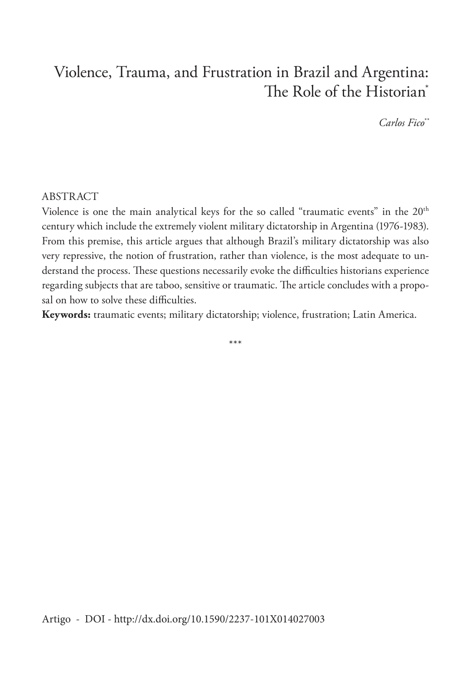## Violence, Trauma, and Frustration in Brazil and Argentina: The Role of the Historian<sup>\*</sup>

*Carlos Fico\*\**

## ABSTRACT

Violence is one the main analytical keys for the so called "traumatic events" in the 20th century which include the extremely violent military dictatorship in Argentina (1976-1983). From this premise, this article argues that although Brazil's military dictatorship was also very repressive, the notion of frustration, rather than violence, is the most adequate to understand the process. These questions necessarily evoke the difficulties historians experience regarding subjects that are taboo, sensitive or traumatic. The article concludes with a proposal on how to solve these difficulties.

**Keywords:** traumatic events; military dictatorship; violence, frustration; Latin America.

\*\*\*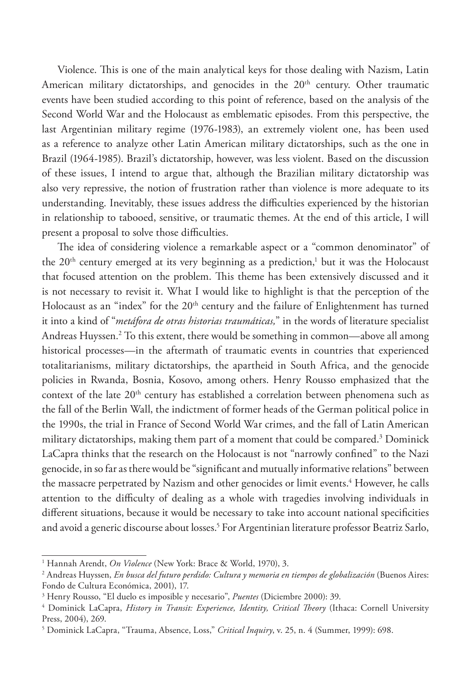Violence. This is one of the main analytical keys for those dealing with Nazism, Latin American military dictatorships, and genocides in the  $20<sup>th</sup>$  century. Other traumatic events have been studied according to this point of reference, based on the analysis of the Second World War and the Holocaust as emblematic episodes. From this perspective, the last Argentinian military regime (1976-1983), an extremely violent one, has been used as a reference to analyze other Latin American military dictatorships, such as the one in Brazil (1964-1985). Brazil's dictatorship, however, was less violent. Based on the discussion of these issues, I intend to argue that, although the Brazilian military dictatorship was also very repressive, the notion of frustration rather than violence is more adequate to its understanding. Inevitably, these issues address the difficulties experienced by the historian in relationship to tabooed, sensitive, or traumatic themes. At the end of this article, I will present a proposal to solve those difficulties.

The idea of considering violence a remarkable aspect or a "common denominator" of the  $20<sup>th</sup>$  century emerged at its very beginning as a prediction,<sup>1</sup> but it was the Holocaust that focused attention on the problem. This theme has been extensively discussed and it is not necessary to revisit it. What I would like to highlight is that the perception of the Holocaust as an "index" for the 20<sup>th</sup> century and the failure of Enlightenment has turned it into a kind of "*metáfora de otras historias traumáticas,*" in the words of literature specialist Andreas Huyssen.2 To this extent, there would be something in common—above all among historical processes—in the aftermath of traumatic events in countries that experienced totalitarianisms, military dictatorships, the apartheid in South Africa, and the genocide policies in Rwanda, Bosnia, Kosovo, among others. Henry Rousso emphasized that the context of the late 20<sup>th</sup> century has established a correlation between phenomena such as the fall of the Berlin Wall, the indictment of former heads of the German political police in the 1990s, the trial in France of Second World War crimes, and the fall of Latin American military dictatorships, making them part of a moment that could be compared.3 Dominick LaCapra thinks that the research on the Holocaust is not "narrowly confined" to the Nazi genocide, in so far as there would be "significant and mutually informative relations" between the massacre perpetrated by Nazism and other genocides or limit events.<sup>4</sup> However, he calls attention to the difficulty of dealing as a whole with tragedies involving individuals in different situations, because it would be necessary to take into account national specificities and avoid a generic discourse about losses.5 For Argentinian literature professor Beatriz Sarlo,

<sup>1</sup> Hannah Arendt, *On Violence* (New York: Brace & World, 1970), 3.

<sup>2</sup> Andreas Huyssen, *En busca del futuro perdido: Cultura y memoria en tiempos de globalización* (Buenos Aires: Fondo de Cultura Económica, 2001), 17.

<sup>3</sup> Henry Rousso, "El duelo es imposible y necesario", *Puentes* (Diciembre 2000): 39.

<sup>4</sup> Dominick LaCapra, *History in Transit: Experience, Identity, Critical Theory* (Ithaca: Cornell University Press, 2004), 269.

<sup>5</sup> Dominick LaCapra, "Trauma, Absence, Loss," *Critical Inquiry*, v. 25, n. 4 (Summer, 1999): 698.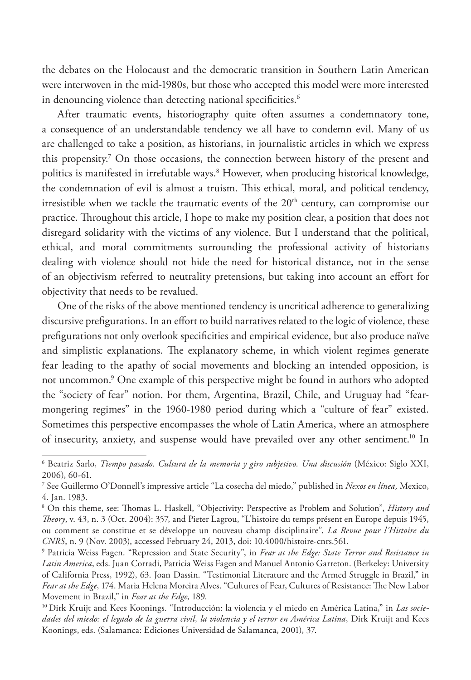the debates on the Holocaust and the democratic transition in Southern Latin American were interwoven in the mid-1980s, but those who accepted this model were more interested in denouncing violence than detecting national specificities.<sup>6</sup>

After traumatic events, historiography quite often assumes a condemnatory tone, a consequence of an understandable tendency we all have to condemn evil. Many of us are challenged to take a position, as historians, in journalistic articles in which we express this propensity.7 On those occasions, the connection between history of the present and politics is manifested in irrefutable ways.8 However, when producing historical knowledge, the condemnation of evil is almost a truism. This ethical, moral, and political tendency, irresistible when we tackle the traumatic events of the  $20<sup>th</sup>$  century, can compromise our practice. Throughout this article, I hope to make my position clear, a position that does not disregard solidarity with the victims of any violence. But I understand that the political, ethical, and moral commitments surrounding the professional activity of historians dealing with violence should not hide the need for historical distance, not in the sense of an objectivism referred to neutrality pretensions, but taking into account an effort for objectivity that needs to be revalued.

One of the risks of the above mentioned tendency is uncritical adherence to generalizing discursive prefigurations. In an effort to build narratives related to the logic of violence, these prefigurations not only overlook specificities and empirical evidence, but also produce naïve and simplistic explanations. The explanatory scheme, in which violent regimes generate fear leading to the apathy of social movements and blocking an intended opposition, is not uncommon.9 One example of this perspective might be found in authors who adopted the "society of fear" notion. For them, Argentina, Brazil, Chile, and Uruguay had "fearmongering regimes" in the 1960-1980 period during which a "culture of fear" existed. Sometimes this perspective encompasses the whole of Latin America, where an atmosphere of insecurity, anxiety, and suspense would have prevailed over any other sentiment.<sup>10</sup> In

<sup>6</sup> Beatriz Sarlo, *Tiempo pasado. Cultura de la memoria y giro subjetivo. Una discusión* (México: Siglo XXI, 2006), 60-61.

<sup>7</sup> See Guillermo O'Donnell's impressive article "La cosecha del miedo," published in *Nexos en línea,* Mexico, 4. Jan. 1983.

<sup>8</sup> On this theme, see: Thomas L. Haskell, "Objectivity: Perspective as Problem and Solution", *History and Theory*, v. 43, n. 3 (Oct. 2004): 357, and Pieter Lagrou, "L'histoire du temps présent en Europe depuis 1945, ou comment se constitue et se développe un nouveau champ disciplinaire", *La Revue pour l'Histoire du CNRS*, n. 9 (Nov. 2003), accessed February 24, 2013, doi: 10.4000/histoire-cnrs.561.

<sup>9</sup> Patricia Weiss Fagen. "Repression and State Security", in *Fear at the Edge: State Terror and Resistance in Latin America*, eds. Juan Corradi, Patricia Weiss Fagen and Manuel Antonio Garreton. (Berkeley: University of California Press, 1992), 63. Joan Dassin. "Testimonial Literature and the Armed Struggle in Brazil," in *Fear at the Edge*, 174. Maria Helena Moreira Alves. "Cultures of Fear, Cultures of Resistance: The New Labor Movement in Brazil," in *Fear at the Edge*, 189.

<sup>10</sup> Dirk Kruijt and Kees Koonings. "Introducción: la violencia y el miedo en América Latina," in *Las sociedades del miedo: el legado de la guerra civil, la violencia y el terror en América Latina*, Dirk Kruijt and Kees Koonings, eds. (Salamanca: Ediciones Universidad de Salamanca, 2001), 37.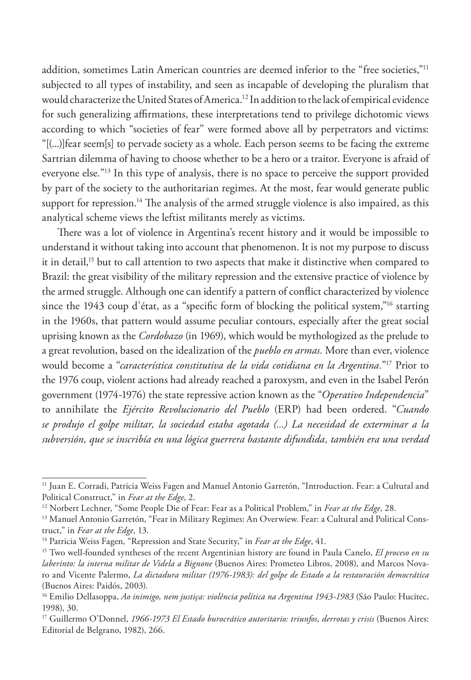addition, sometimes Latin American countries are deemed inferior to the "free societies,"<sup>11</sup> subjected to all types of instability, and seen as incapable of developing the pluralism that would characterize the United States of America.12 In addition to the lack of empirical evidence for such generalizing affirmations, these interpretations tend to privilege dichotomic views according to which "societies of fear" were formed above all by perpetrators and victims: "[(...)]fear seem[s] to pervade society as a whole. Each person seems to be facing the extreme Sartrian dilemma of having to choose whether to be a hero or a traitor. Everyone is afraid of everyone else*.*"13 In this type of analysis, there is no space to perceive the support provided by part of the society to the authoritarian regimes. At the most, fear would generate public support for repression.<sup>14</sup> The analysis of the armed struggle violence is also impaired, as this analytical scheme views the leftist militants merely as victims.

There was a lot of violence in Argentina's recent history and it would be impossible to understand it without taking into account that phenomenon. It is not my purpose to discuss it in detail,<sup>15</sup> but to call attention to two aspects that make it distinctive when compared to Brazil: the great visibility of the military repression and the extensive practice of violence by the armed struggle. Although one can identify a pattern of conflict characterized by violence since the 1943 coup d'état, as a "specific form of blocking the political system,"<sup>16</sup> starting in the 1960s, that pattern would assume peculiar contours, especially after the great social uprising known as the *Cordobazo* (in 1969), which would be mythologized as the prelude to a great revolution, based on the idealization of the *pueblo en armas.* More than ever, violence would become a "*característica constitutiva de la vida cotidiana en la Argentina.*"17 Prior to the 1976 coup, violent actions had already reached a paroxysm, and even in the Isabel Perón government (1974-1976) the state repressive action known as the "*Operativo Independencia*" to annihilate the *Ejército Revolucionario del Pueblo* (ERP) had been ordered. "*Cuando se produjo el golpe militar, la sociedad estaba agotada (...) La necesidad de exterminar a la subversión, que se inscribía en una lógica guerrera bastante difundida, también era una verdad* 

<sup>11</sup> Juan E. Corradi, Patricia Weiss Fagen and Manuel Antonio Garretón, "Introduction. Fear: a Cultural and Political Construct," in *Fear at the Edge*, 2.

<sup>&</sup>lt;sup>12</sup> Norbert Lechner, "Some People Die of Fear: Fear as a Political Problem," in Fear at the Edge, 28.

<sup>&</sup>lt;sup>13</sup> Manuel Antonio Garretón, "Fear in Military Regimes: An Overwiew. Fear: a Cultural and Political Construct," in *Fear at the Edge*, 13.

<sup>14</sup> Patricia Weiss Fagen, "Repression and State Security," in *Fear at the Edge*, 41.

<sup>15</sup> Two well-founded syntheses of the recent Argentinian history are found in Paula Canelo, *El proceso en su laberinto: la interna militar de Videla a Bignone* (Buenos Aires: Prometeo Libros, 2008), and Marcos Novaro and Vicente Palermo, *La dictadura militar (1976-1983): del golpe de Estado a la restauración democrática* (Buenos Aires: Paidós, 2003).

<sup>16</sup> Emilio Dellasoppa, *Ao inimigo, nem justiça: violência política na Argentina 1943-1983* (São Paulo: Hucitec, 1998), 30.

<sup>&</sup>lt;sup>17</sup> Guillermo O'Donnel, 1966-1973 El Estado burocrático autoritario: triunfos, derrotas y crisis (Buenos Aires: Editorial de Belgrano, 1982), 266.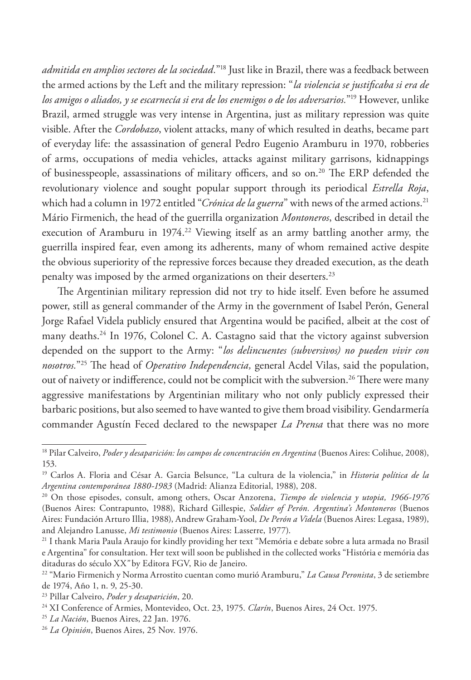*admitida en amplios sectores de la sociedad.*"18 Just like in Brazil, there was a feedback between the armed actions by the Left and the military repression: "*la violencia se justificaba si era de los amigos o aliados, y se escarnecía si era de los enemigos o de los adversarios.*"19 However, unlike Brazil, armed struggle was very intense in Argentina, just as military repression was quite visible. After the *Cordobazo*, violent attacks, many of which resulted in deaths, became part of everyday life: the assassination of general Pedro Eugenio Aramburu in 1970, robberies of arms, occupations of media vehicles, attacks against military garrisons, kidnappings of businesspeople, assassinations of military officers, and so on.<sup>20</sup> The ERP defended the revolutionary violence and sought popular support through its periodical *Estrella Roja*, which had a column in 1972 entitled "*Crónica de la guerra*" with news of the armed actions.<sup>21</sup> Mário Firmenich, the head of the guerrilla organization *Montoneros*, described in detail the execution of Aramburu in 1974.<sup>22</sup> Viewing itself as an army battling another army, the guerrilla inspired fear, even among its adherents, many of whom remained active despite the obvious superiority of the repressive forces because they dreaded execution, as the death penalty was imposed by the armed organizations on their deserters.<sup>23</sup>

The Argentinian military repression did not try to hide itself. Even before he assumed power, still as general commander of the Army in the government of Isabel Perón, General Jorge Rafael Videla publicly ensured that Argentina would be pacified, albeit at the cost of many deaths.24 In 1976, Colonel C. A. Castagno said that the victory against subversion depended on the support to the Army: "*los delincuentes (subversivos) no pueden vivir con nosotros.*"25 The head of *Operativo Independencia,* general Acdel Vilas, said the population, out of naivety or indifference, could not be complicit with the subversion.<sup>26</sup> There were many aggressive manifestations by Argentinian military who not only publicly expressed their barbaric positions, but also seemed to have wanted to give them broad visibility. Gendarmería commander Agustín Feced declared to the newspaper *La Prensa* that there was no more

<sup>18</sup> Pilar Calveiro, *Poder y desaparición: los campos de concentración en Argentina* (Buenos Aires: Colihue, 2008), 153.

<sup>19</sup> Carlos A. Floria and César A. Garcia Belsunce, "La cultura de la violencia," in *Historia política de la Argentina contemporánea 1880-1983* (Madrid: Alianza Editorial, 1988), 208.

<sup>20</sup> On those episodes, consult, among others, Oscar Anzorena, *Tiempo de violencia y utopia, 1966-1976* (Buenos Aires: Contrapunto, 1988), Richard Gillespie, *Soldier of Perón. Argentina's Montoneros* (Buenos Aires: Fundación Arturo Illia, 1988), Andrew Graham-Yool, *De Perón a Videla* (Buenos Aires: Legasa, 1989), and Alejandro Lanusse, *Mi testimonio* (Buenos Aires: Lasserre, 1977).

<sup>21</sup> I thank Maria Paula Araujo for kindly providing her text "Memória e debate sobre a luta armada no Brasil e Argentina" for consultation. Her text will soon be published in the collected works "História e memória das ditaduras do século XX*"* by Editora FGV, Rio de Janeiro.

<sup>22 &</sup>quot;Mario Firmenich y Norma Arrostito cuentan como murió Aramburu," *La Causa Peronista*, 3 de setiembre de 1974, Año 1, n. 9, 25-30.

<sup>23</sup> Pillar Calveiro, *Poder y desaparición*, 20.

<sup>24</sup> XI Conference of Armies, Montevideo, Oct. 23, 1975. *Clarín*, Buenos Aires, 24 Oct. 1975.

<sup>25</sup> *La Nación*, Buenos Aires, 22 Jan. 1976.

<sup>26</sup> *La Opinión*, Buenos Aires, 25 Nov. 1976.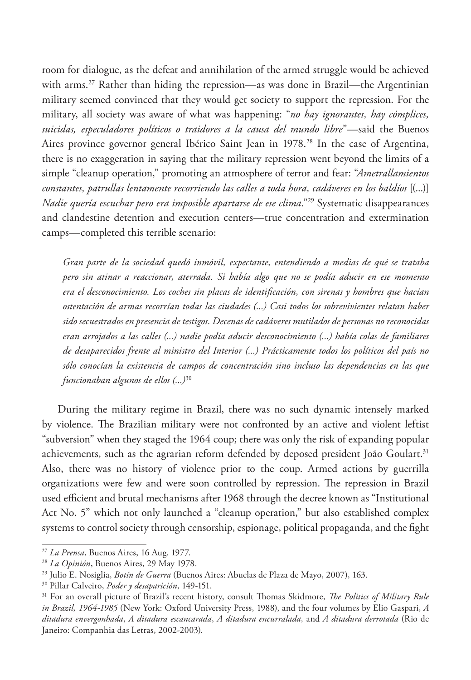room for dialogue, as the defeat and annihilation of the armed struggle would be achieved with arms.<sup>27</sup> Rather than hiding the repression—as was done in Brazil—the Argentinian military seemed convinced that they would get society to support the repression. For the military, all society was aware of what was happening: "*no hay ignorantes, hay cómplices, suicidas, especuladores políticos o traidores a la causa del mundo libre*"—said the Buenos Aires province governor general Ibérico Saint Jean in 1978.<sup>28</sup> In the case of Argentina, there is no exaggeration in saying that the military repression went beyond the limits of a simple "cleanup operation," promoting an atmosphere of terror and fear: "*Ametrallamientos constantes, patrullas lentamente recorriendo las calles a toda hora, cadáveres en los baldíos* [(...)] *Nadie quería escuchar pero era imposible apartarse de ese clima*."29 Systematic disappearances and clandestine detention and execution centers—true concentration and extermination camps—completed this terrible scenario:

*Gran parte de la sociedad quedó inmóvil, expectante, entendiendo a medias de qué se trataba pero sin atinar a reaccionar, aterrada. Si había algo que no se podía aducir en ese momento era el desconocimiento. Los coches sin placas de identificación, con sirenas y hombres que hacían ostentación de armas recorrían todas las ciudades (...) Casi todos los sobrevivientes relatan haber sido secuestrados en presencia de testigos. Decenas de cadáveres mutilados de personas no reconocidas eran arrojados a las calles (...) nadie podía aducir desconocimiento (...) había colas de familiares de desaparecidos frente al ministro del Interior (...) Prácticamente todos los políticos del país no sólo conocían la existencia de campos de concentración sino incluso las dependencias en las que funcionaban algunos de ellos (...)*<sup>30</sup>

During the military regime in Brazil, there was no such dynamic intensely marked by violence. The Brazilian military were not confronted by an active and violent leftist "subversion" when they staged the 1964 coup; there was only the risk of expanding popular achievements, such as the agrarian reform defended by deposed president João Goulart.<sup>31</sup> Also, there was no history of violence prior to the coup. Armed actions by guerrilla organizations were few and were soon controlled by repression. The repression in Brazil used efficient and brutal mechanisms after 1968 through the decree known as "Institutional Act No. 5" which not only launched a "cleanup operation," but also established complex systems to control society through censorship, espionage, political propaganda, and the fight

<sup>27</sup> *La Prensa*, Buenos Aires, 16 Aug. 1977.

<sup>28</sup> *La Opinión*, Buenos Aires, 29 May 1978.

<sup>29</sup> Julio E. Nosiglia, *Botín de Guerra* (Buenos Aires: Abuelas de Plaza de Mayo, 2007), 163.

<sup>30</sup> Pillar Calveiro, *Poder y desaparición*, 149-151.

<sup>31</sup> For an overall picture of Brazil's recent history, consult Thomas Skidmore, *The Politics of Military Rule in Brazil, 1964-1985* (New York: Oxford University Press, 1988), and the four volumes by Elio Gaspari, *A ditadura envergonhada*, *A ditadura escancarada*, *A ditadura encurralada,* and *A ditadura derrotada* (Rio de Janeiro: Companhia das Letras, 2002-2003).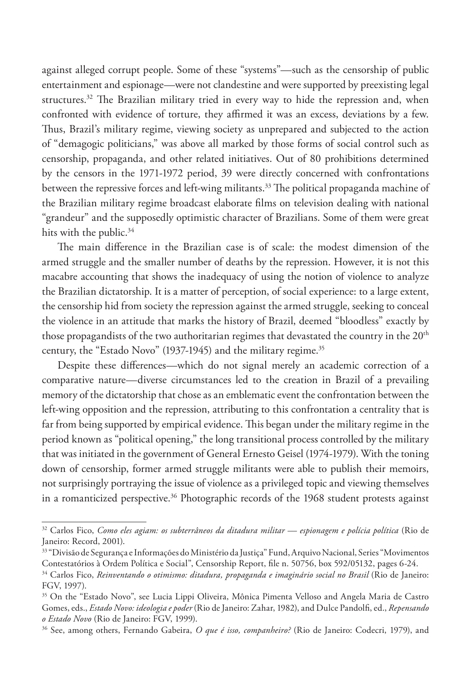against alleged corrupt people. Some of these "systems"—such as the censorship of public entertainment and espionage—were not clandestine and were supported by preexisting legal structures.<sup>32</sup> The Brazilian military tried in every way to hide the repression and, when confronted with evidence of torture, they affirmed it was an excess, deviations by a few. Thus, Brazil's military regime, viewing society as unprepared and subjected to the action of "demagogic politicians," was above all marked by those forms of social control such as censorship, propaganda, and other related initiatives. Out of 80 prohibitions determined by the censors in the 1971-1972 period, 39 were directly concerned with confrontations between the repressive forces and left-wing militants.<sup>33</sup> The political propaganda machine of the Brazilian military regime broadcast elaborate films on television dealing with national "grandeur" and the supposedly optimistic character of Brazilians. Some of them were great hits with the public.<sup>34</sup>

The main difference in the Brazilian case is of scale: the modest dimension of the armed struggle and the smaller number of deaths by the repression. However, it is not this macabre accounting that shows the inadequacy of using the notion of violence to analyze the Brazilian dictatorship. It is a matter of perception, of social experience: to a large extent, the censorship hid from society the repression against the armed struggle, seeking to conceal the violence in an attitude that marks the history of Brazil, deemed "bloodless" exactly by those propagandists of the two authoritarian regimes that devastated the country in the 20<sup>th</sup> century, the "Estado Novo" (1937-1945) and the military regime.<sup>35</sup>

Despite these differences—which do not signal merely an academic correction of a comparative nature—diverse circumstances led to the creation in Brazil of a prevailing memory of the dictatorship that chose as an emblematic event the confrontation between the left-wing opposition and the repression, attributing to this confrontation a centrality that is far from being supported by empirical evidence. This began under the military regime in the period known as "political opening," the long transitional process controlled by the military that was initiated in the government of General Ernesto Geisel (1974-1979). With the toning down of censorship, former armed struggle militants were able to publish their memoirs, not surprisingly portraying the issue of violence as a privileged topic and viewing themselves in a romanticized perspective.<sup>36</sup> Photographic records of the 1968 student protests against

<sup>32</sup> Carlos Fico, *Como eles agiam: os subterrâneos da ditadura militar — espionagem e polícia política* (Rio de Janeiro: Record, 2001).

<sup>33</sup> "Divisão de Segurança e Informações do Ministério da Justiça" Fund, Arquivo Nacional, Series "Movimentos Contestatórios à Ordem Política e Social", Censorship Report, file n. 50756, box 592/05132, pages 6-24.

<sup>34</sup> Carlos Fico, *Reinventando o otimismo: ditadura, propaganda e imaginário social no Brasil* (Rio de Janeiro: FGV, 1997).

<sup>35</sup> On the "Estado Novo", see Lucia Lippi Oliveira, Mônica Pimenta Velloso and Angela Maria de Castro Gomes, eds., *Estado Novo: ideologia e poder* (Rio de Janeiro: Zahar, 1982), and Dulce Pandolfi, ed., *Repensando o Estado Novo* (Rio de Janeiro: FGV, 1999).

<sup>36</sup> See, among others, Fernando Gabeira, *O que é isso, companheiro?* (Rio de Janeiro: Codecri, 1979), and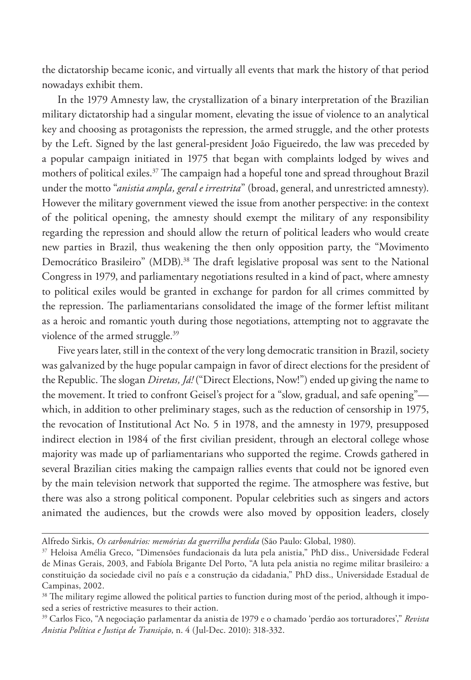the dictatorship became iconic, and virtually all events that mark the history of that period nowadays exhibit them.

In the 1979 Amnesty law, the crystallization of a binary interpretation of the Brazilian military dictatorship had a singular moment, elevating the issue of violence to an analytical key and choosing as protagonists the repression, the armed struggle, and the other protests by the Left. Signed by the last general-president João Figueiredo, the law was preceded by a popular campaign initiated in 1975 that began with complaints lodged by wives and mothers of political exiles.37 The campaign had a hopeful tone and spread throughout Brazil under the motto "*anistia ampla, geral e irrestrita*" (broad, general, and unrestricted amnesty). However the military government viewed the issue from another perspective: in the context of the political opening, the amnesty should exempt the military of any responsibility regarding the repression and should allow the return of political leaders who would create new parties in Brazil, thus weakening the then only opposition party, the "Movimento Democrático Brasileiro" (MDB).<sup>38</sup> The draft legislative proposal was sent to the National Congress in 1979, and parliamentary negotiations resulted in a kind of pact, where amnesty to political exiles would be granted in exchange for pardon for all crimes committed by the repression. The parliamentarians consolidated the image of the former leftist militant as a heroic and romantic youth during those negotiations, attempting not to aggravate the violence of the armed struggle.<sup>39</sup>

Five years later, still in the context of the very long democratic transition in Brazil, society was galvanized by the huge popular campaign in favor of direct elections for the president of the Republic. The slogan *Diretas, Já!* ("Direct Elections, Now!") ended up giving the name to the movement. It tried to confront Geisel's project for a "slow, gradual, and safe opening" which, in addition to other preliminary stages, such as the reduction of censorship in 1975, the revocation of Institutional Act No. 5 in 1978, and the amnesty in 1979, presupposed indirect election in 1984 of the first civilian president, through an electoral college whose majority was made up of parliamentarians who supported the regime. Crowds gathered in several Brazilian cities making the campaign rallies events that could not be ignored even by the main television network that supported the regime. The atmosphere was festive, but there was also a strong political component. Popular celebrities such as singers and actors animated the audiences, but the crowds were also moved by opposition leaders, closely

Alfredo Sirkis, *Os carbonários: memórias da guerrilha perdida* (São Paulo: Global, 1980).

<sup>37</sup> Heloisa Amélia Greco, "Dimensões fundacionais da luta pela anistia," PhD diss., Universidade Federal de Minas Gerais, 2003, and Fabíola Brigante Del Porto, "A luta pela anistia no regime militar brasileiro*:* a constituição da sociedade civil no país e a construção da cidadania," PhD diss., Universidade Estadual de Campinas, 2002.

<sup>&</sup>lt;sup>38</sup> The military regime allowed the political parties to function during most of the period, although it imposed a series of restrictive measures to their action.

<sup>39</sup> Carlos Fico, "A negociação parlamentar da anistia de 1979 e o chamado 'perdão aos torturadores'," *Revista Anistia Política e Justiça de Transição*, n. 4 (Jul-Dec. 2010): 318-332.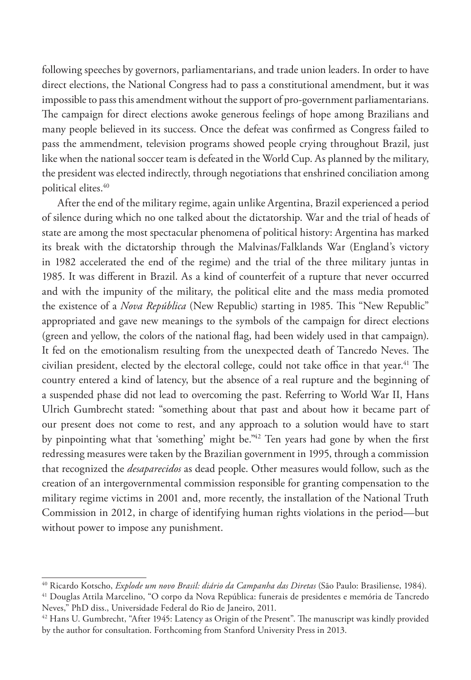following speeches by governors, parliamentarians, and trade union leaders. In order to have direct elections, the National Congress had to pass a constitutional amendment, but it was impossible to pass this amendment without the support of pro-government parliamentarians. The campaign for direct elections awoke generous feelings of hope among Brazilians and many people believed in its success. Once the defeat was confirmed as Congress failed to pass the ammendment, television programs showed people crying throughout Brazil, just like when the national soccer team is defeated in the World Cup. As planned by the military, the president was elected indirectly, through negotiations that enshrined conciliation among political elites.40

After the end of the military regime, again unlike Argentina, Brazil experienced a period of silence during which no one talked about the dictatorship. War and the trial of heads of state are among the most spectacular phenomena of political history: Argentina has marked its break with the dictatorship through the Malvinas/Falklands War (England's victory in 1982 accelerated the end of the regime) and the trial of the three military juntas in 1985. It was different in Brazil. As a kind of counterfeit of a rupture that never occurred and with the impunity of the military, the political elite and the mass media promoted the existence of a *Nova República* (New Republic) starting in 1985. This "New Republic" appropriated and gave new meanings to the symbols of the campaign for direct elections (green and yellow, the colors of the national flag, had been widely used in that campaign). It fed on the emotionalism resulting from the unexpected death of Tancredo Neves. The civilian president, elected by the electoral college, could not take office in that year.<sup>41</sup> The country entered a kind of latency, but the absence of a real rupture and the beginning of a suspended phase did not lead to overcoming the past. Referring to World War II, Hans Ulrich Gumbrecht stated: "something about that past and about how it became part of our present does not come to rest, and any approach to a solution would have to start by pinpointing what that 'something' might be."42 Ten years had gone by when the first redressing measures were taken by the Brazilian government in 1995, through a commission that recognized the *desaparecidos* as dead people. Other measures would follow, such as the creation of an intergovernmental commission responsible for granting compensation to the military regime victims in 2001 and, more recently, the installation of the National Truth Commission in 2012, in charge of identifying human rights violations in the period—but without power to impose any punishment.

<sup>40</sup> Ricardo Kotscho, *Explode um novo Brasil: diário da Campanha das Diretas* (São Paulo: Brasiliense, 1984).

<sup>41</sup> Douglas Attila Marcelino, "O corpo da Nova República: funerais de presidentes e memória de Tancredo Neves," PhD diss., Universidade Federal do Rio de Janeiro, 2011.

<sup>42</sup> Hans U. Gumbrecht, "After 1945: Latency as Origin of the Present". The manuscript was kindly provided by the author for consultation. Forthcoming from Stanford University Press in 2013.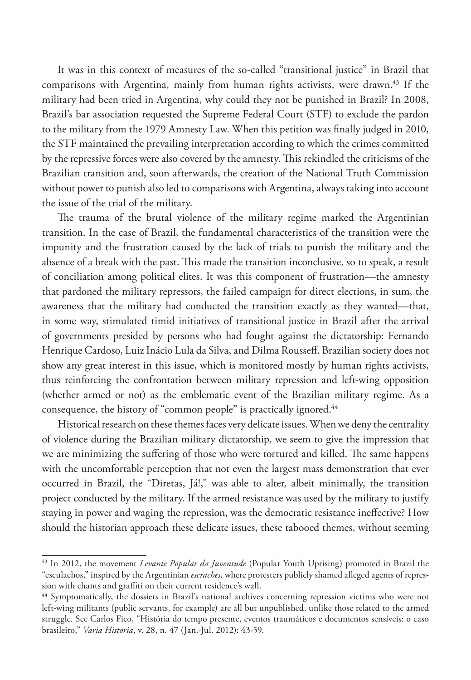It was in this context of measures of the so-called "transitional justice" in Brazil that comparisons with Argentina, mainly from human rights activists, were drawn.<sup>43</sup> If the military had been tried in Argentina, why could they not be punished in Brazil? In 2008, Brazil's bar association requested the Supreme Federal Court (STF) to exclude the pardon to the military from the 1979 Amnesty Law. When this petition was finally judged in 2010, the STF maintained the prevailing interpretation according to which the crimes committed by the repressive forces were also covered by the amnesty. This rekindled the criticisms of the Brazilian transition and, soon afterwards, the creation of the National Truth Commission without power to punish also led to comparisons with Argentina, always taking into account the issue of the trial of the military.

The trauma of the brutal violence of the military regime marked the Argentinian transition. In the case of Brazil, the fundamental characteristics of the transition were the impunity and the frustration caused by the lack of trials to punish the military and the absence of a break with the past. This made the transition inconclusive, so to speak, a result of conciliation among political elites. It was this component of frustration—the amnesty that pardoned the military repressors, the failed campaign for direct elections, in sum, the awareness that the military had conducted the transition exactly as they wanted—that, in some way, stimulated timid initiatives of transitional justice in Brazil after the arrival of governments presided by persons who had fought against the dictatorship: Fernando Henrique Cardoso, Luiz Inácio Lula da Silva, and Dilma Rousseff. Brazilian society does not show any great interest in this issue, which is monitored mostly by human rights activists, thus reinforcing the confrontation between military repression and left-wing opposition (whether armed or not) as the emblematic event of the Brazilian military regime. As a consequence, the history of "common people" is practically ignored.<sup>44</sup>

Historical research on these themes faces very delicate issues. When we deny the centrality of violence during the Brazilian military dictatorship, we seem to give the impression that we are minimizing the suffering of those who were tortured and killed. The same happens with the uncomfortable perception that not even the largest mass demonstration that ever occurred in Brazil, the "Diretas, Já!," was able to alter, albeit minimally, the transition project conducted by the military. If the armed resistance was used by the military to justify staying in power and waging the repression, was the democratic resistance ineffective? How should the historian approach these delicate issues, these tabooed themes, without seeming

<sup>43</sup> In 2012, the movement *Levante Popular da Juventude* (Popular Youth Uprising) promoted in Brazil the "esculachos," inspired by the Argentinian *escraches,* where protesters publicly shamed alleged agents of repression with chants and graffiti on their current residence's wall.

<sup>&</sup>lt;sup>44</sup> Symptomatically, the dossiers in Brazil's national archives concerning repression victims who were not left-wing militants (public servants, for example) are all but unpublished, unlike those related to the armed struggle. See Carlos Fico, "História do tempo presente, eventos traumáticos e documentos sensíveis: o caso brasileiro," *Varia Historia*, v. 28, n. 47 (Jan.-Jul. 2012): 43-59.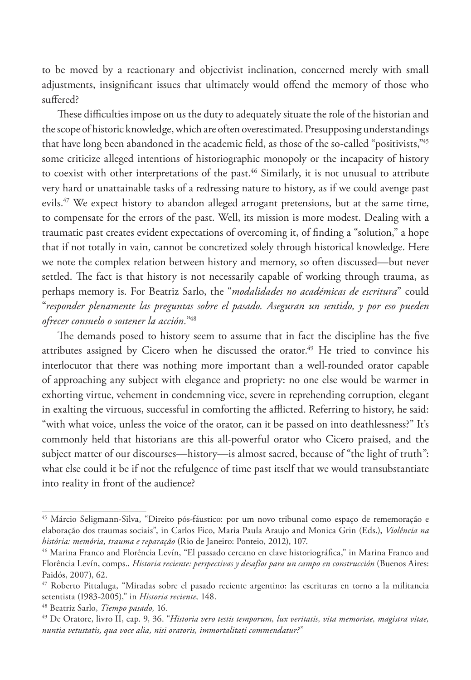to be moved by a reactionary and objectivist inclination, concerned merely with small adjustments, insignificant issues that ultimately would offend the memory of those who suffered?

These difficulties impose on us the duty to adequately situate the role of the historian and the scope of historic knowledge, which are often overestimated. Presupposing understandings that have long been abandoned in the academic field, as those of the so-called "positivists,"45 some criticize alleged intentions of historiographic monopoly or the incapacity of history to coexist with other interpretations of the past.<sup>46</sup> Similarly, it is not unusual to attribute very hard or unattainable tasks of a redressing nature to history, as if we could avenge past evils.<sup>47</sup> We expect history to abandon alleged arrogant pretensions, but at the same time, to compensate for the errors of the past. Well, its mission is more modest. Dealing with a traumatic past creates evident expectations of overcoming it, of finding a "solution," a hope that if not totally in vain, cannot be concretized solely through historical knowledge. Here we note the complex relation between history and memory, so often discussed—but never settled. The fact is that history is not necessarily capable of working through trauma, as perhaps memory is. For Beatriz Sarlo, the "*modalidades no académicas de escritura*" could "*responder plenamente las preguntas sobre el pasado. Aseguran un sentido, y por eso pueden ofrecer consuelo o sostener la acción.*" 48

The demands posed to history seem to assume that in fact the discipline has the five attributes assigned by Cicero when he discussed the orator.<sup>49</sup> He tried to convince his interlocutor that there was nothing more important than a well-rounded orator capable of approaching any subject with elegance and propriety: no one else would be warmer in exhorting virtue, vehement in condemning vice, severe in reprehending corruption, elegant in exalting the virtuous, successful in comforting the afflicted. Referring to history, he said: "with what voice, unless the voice of the orator, can it be passed on into deathlessness?" It's commonly held that historians are this all-powerful orator who Cicero praised, and the subject matter of our discourses—history—is almost sacred, because of "the light of truth": what else could it be if not the refulgence of time past itself that we would transubstantiate into reality in front of the audience?

<sup>45</sup> Márcio Seligmann-Silva, "Direito pós-fáustico: por um novo tribunal como espaço de rememoração e elaboração dos traumas sociais", in Carlos Fico, Maria Paula Araujo and Monica Grin (Eds.), *Violência na história: memória, trauma e reparação* (Rio de Janeiro: Ponteio, 2012), 107.

<sup>&</sup>lt;sup>46</sup> Marina Franco and Florência Levín, "El passado cercano en clave historiográfica," in Marina Franco and Florência Levín, comps., *Historia reciente: perspectivas y desafíos para un campo en construcción* (Buenos Aires: Paidós, 2007), 62.

<sup>47</sup> Roberto Pittaluga, "Miradas sobre el pasado reciente argentino: las escrituras en torno a la militancia setentista (1983-2005)," in *Historia reciente,* 148.

<sup>48</sup> Beatriz Sarlo, *Tiempo pasado,* 16.

<sup>49</sup> De Oratore, livro II, cap. 9, 36. "*Historia vero testis temporum, lux veritatis, vita memoriae, magistra vitae, nuntia vetustatis, qua voce alia, nisi oratoris, immortalitati commendatur?*"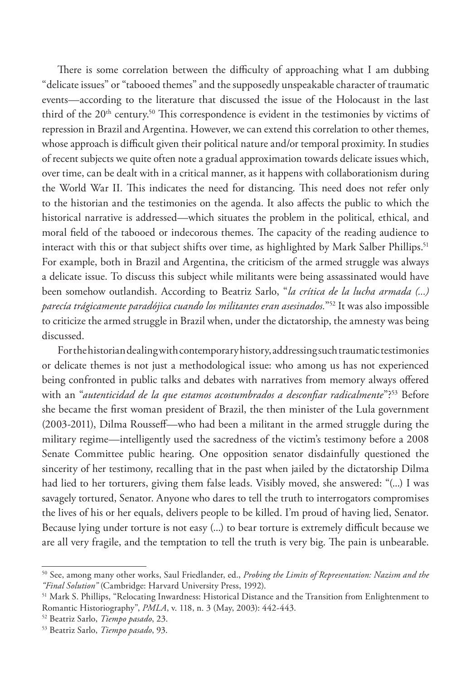There is some correlation between the difficulty of approaching what I am dubbing "delicate issues" or "tabooed themes" and the supposedly unspeakable character of traumatic events—according to the literature that discussed the issue of the Holocaust in the last third of the 20<sup>th</sup> century.<sup>50</sup> This correspondence is evident in the testimonies by victims of repression in Brazil and Argentina. However, we can extend this correlation to other themes, whose approach is difficult given their political nature and/or temporal proximity. In studies of recent subjects we quite often note a gradual approximation towards delicate issues which, over time, can be dealt with in a critical manner, as it happens with collaborationism during the World War II. This indicates the need for distancing. This need does not refer only to the historian and the testimonies on the agenda. It also affects the public to which the historical narrative is addressed—which situates the problem in the political, ethical, and moral field of the tabooed or indecorous themes. The capacity of the reading audience to interact with this or that subject shifts over time, as highlighted by Mark Salber Phillips.<sup>51</sup> For example, both in Brazil and Argentina, the criticism of the armed struggle was always a delicate issue. To discuss this subject while militants were being assassinated would have been somehow outlandish. According to Beatriz Sarlo, "*la crítica de la lucha armada (...) parecía trágicamente paradójica cuando los militantes eran asesinados.*"52 It was also impossible to criticize the armed struggle in Brazil when, under the dictatorship, the amnesty was being discussed.

For the historian dealing with contemporary history, addressing such traumatic testimonies or delicate themes is not just a methodological issue: who among us has not experienced being confronted in public talks and debates with narratives from memory always offered with an "*autenticidad de la que estamos acostumbrados a desconfiar radicalmente*"?53 Before she became the first woman president of Brazil, the then minister of the Lula government (2003-2011), Dilma Rousseff—who had been a militant in the armed struggle during the military regime—intelligently used the sacredness of the victim's testimony before a 2008 Senate Committee public hearing. One opposition senator disdainfully questioned the sincerity of her testimony, recalling that in the past when jailed by the dictatorship Dilma had lied to her torturers, giving them false leads. Visibly moved, she answered: "(...) I was savagely tortured, Senator. Anyone who dares to tell the truth to interrogators compromises the lives of his or her equals, delivers people to be killed. I'm proud of having lied, Senator. Because lying under torture is not easy (...) to bear torture is extremely difficult because we are all very fragile, and the temptation to tell the truth is very big. The pain is unbearable.

<sup>50</sup> See, among many other works, Saul Friedlander, ed., *Probing the Limits of Representation: Nazism and the "Final Solution"* (Cambridge: Harvard University Press, 1992).

<sup>51</sup> Mark S. Phillips, "Relocating Inwardness: Historical Distance and the Transition from Enlightenment to Romantic Historiography", *PMLA*, v. 118, n. 3 (May, 2003): 442-443.

<sup>52</sup> Beatriz Sarlo, *Tiempo pasado*, 23.

<sup>53</sup> Beatriz Sarlo, *Tiempo pasado*, 93.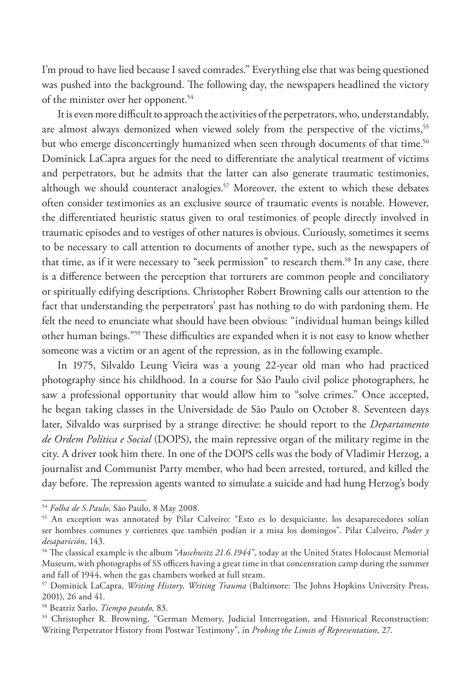I'm proud to have lied because I saved comrades." Everything else that was being questioned was pushed into the background. The following day, the newspapers headlined the victory of the minister over her opponent.54

It is even more difficult to approach the activities of the perpetrators, who, understandably, are almost always demonized when viewed solely from the perspective of the victims,<sup>55</sup> but who emerge disconcertingly humanized when seen through documents of that time.<sup>56</sup> Dominick LaCapra argues for the need to differentiate the analytical treatment of victims and perpetrators, but he admits that the latter can also generate traumatic testimonies, although we should counteract analogies.<sup>57</sup> Moreover, the extent to which these debates often consider testimonies as an exclusive source of traumatic events is notable. However, the differentiated heuristic status given to oral testimonies of people directly involved in traumatic episodes and to vestiges of other natures is obvious. Curiously, sometimes it seems to be necessary to call attention to documents of another type, such as the newspapers of that time, as if it were necessary to "seek permission" to research them.<sup>58</sup> In any case, there is a difference between the perception that torturers are common people and conciliatory or spiritually edifying descriptions. Christopher Robert Browning calls our attention to the fact that understanding the perpetrators' past has nothing to do with pardoning them. He felt the need to enunciate what should have been obvious: "individual human beings killed other human beings*.*"59 These difficulties are expanded when it is not easy to know whether someone was a victim or an agent of the repression, as in the following example.

In 1975, Silvaldo Leung Vieira was a young 22-year old man who had practiced photography since his childhood. In a course for São Paulo civil police photographers, he saw a professional opportunity that would allow him to "solve crimes." Once accepted, he began taking classes in the Universidade de São Paulo on October 8. Seventeen days later, Silvaldo was surprised by a strange directive: he should report to the *Departamento de Ordem Política e Social* (DOPS), the main repressive organ of the military regime in the city. A driver took him there. In one of the DOPS cells was the body of Vladimir Herzog, a journalist and Communist Party member, who had been arrested, tortured, and killed the day before. The repression agents wanted to simulate a suicide and had hung Herzog's body

<sup>54</sup> *Folha de S.Paulo*, São Paulo, 8 May 2008.

<sup>55</sup> An exception was annotated by Pilar Calveiro: "Esto es lo desquiciante, los desaparecedores solían ser hombres comunes y corrientes que también podían ir a misa los domingos". Pilar Calveiro, *Poder y desaparición*, 143.

<sup>56</sup> The classical example is the album "*Auschwitz 21.6.1944*", today at the United States Holocaust Memorial Museum, with photographs of SS officers having a great time in that concentration camp during the summer and fall of 1944, when the gas chambers worked at full steam.

<sup>57</sup> Dominick LaCapra, *Writing History, Writing Trauma* (Baltimore: The Johns Hopkins University Press, 2001), 26 and 41.

<sup>58</sup> Beatriz Sarlo, *Tiempo pasado,* 83.

<sup>59</sup> Christopher R. Browning, "German Memory, Judicial Interrogation, and Historical Reconstruction: Writing Perpetrator History from Postwar Testimony", in *Probing the Limits of Representation*, 27.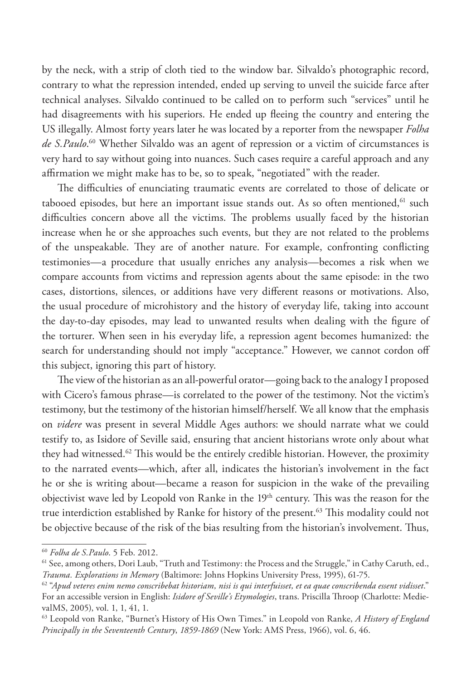by the neck, with a strip of cloth tied to the window bar. Silvaldo's photographic record, contrary to what the repression intended, ended up serving to unveil the suicide farce after technical analyses. Silvaldo continued to be called on to perform such "services" until he had disagreements with his superiors. He ended up fleeing the country and entering the US illegally. Almost forty years later he was located by a reporter from the newspaper *Folha de S.Paulo*. 60 Whether Silvaldo was an agent of repression or a victim of circumstances is very hard to say without going into nuances. Such cases require a careful approach and any affirmation we might make has to be, so to speak, "negotiated" with the reader.

The difficulties of enunciating traumatic events are correlated to those of delicate or tabooed episodes, but here an important issue stands out. As so often mentioned, <sup>61</sup> such difficulties concern above all the victims. The problems usually faced by the historian increase when he or she approaches such events, but they are not related to the problems of the unspeakable. They are of another nature. For example, confronting conflicting testimonies—a procedure that usually enriches any analysis—becomes a risk when we compare accounts from victims and repression agents about the same episode: in the two cases, distortions, silences, or additions have very different reasons or motivations. Also, the usual procedure of microhistory and the history of everyday life, taking into account the day-to-day episodes, may lead to unwanted results when dealing with the figure of the torturer. When seen in his everyday life, a repression agent becomes humanized: the search for understanding should not imply "acceptance." However, we cannot cordon off this subject, ignoring this part of history.

The view of the historian as an all-powerful orator—going back to the analogy I proposed with Cicero's famous phrase—is correlated to the power of the testimony. Not the victim's testimony, but the testimony of the historian himself/herself. We all know that the emphasis on *videre* was present in several Middle Ages authors: we should narrate what we could testify to, as Isidore of Seville said, ensuring that ancient historians wrote only about what they had witnessed.62 This would be the entirely credible historian. However, the proximity to the narrated events—which, after all, indicates the historian's involvement in the fact he or she is writing about—became a reason for suspicion in the wake of the prevailing objectivist wave led by Leopold von Ranke in the  $19<sup>th</sup>$  century. This was the reason for the true interdiction established by Ranke for history of the present.<sup>63</sup> This modality could not be objective because of the risk of the bias resulting from the historian's involvement. Thus,

<sup>60</sup> *Folha de S.Paulo*. 5 Feb. 2012.

<sup>61</sup> See, among others, Dori Laub, "Truth and Testimony: the Process and the Struggle," in Cathy Caruth, ed., *Trauma. Explorations in Memory* (Baltimore: Johns Hopkins University Press, 1995), 61-75.

<sup>62 &</sup>quot;*Apud veteres enim nemo conscribebat historiam, nisi is qui interfuisset, et ea quae conscribenda essent vidisset*." For an accessible version in English: *Isidore of Seville's Etymologies*, trans. Priscilla Throop (Charlotte: MedievalMS, 2005), vol. 1, 1, 41, 1.

<sup>63</sup> Leopold von Ranke, "Burnet's History of His Own Times." in Leopold von Ranke, *A History of England Principally in the Seventeenth Century*, *1859-1869* (New York: AMS Press, 1966), vol. 6, 46.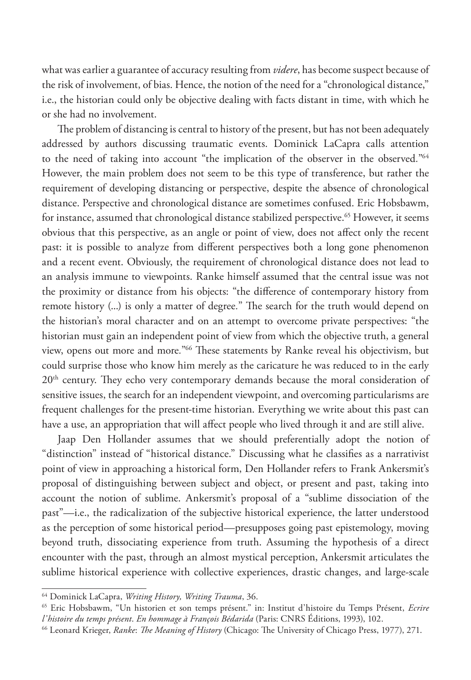what was earlier a guarantee of accuracy resulting from *videre*, has become suspect because of the risk of involvement, of bias. Hence, the notion of the need for a "chronological distance," i.e., the historian could only be objective dealing with facts distant in time, with which he or she had no involvement.

The problem of distancing is central to history of the present, but has not been adequately addressed by authors discussing traumatic events. Dominick LaCapra calls attention to the need of taking into account "the implication of the observer in the observed*.*"64 However, the main problem does not seem to be this type of transference, but rather the requirement of developing distancing or perspective, despite the absence of chronological distance. Perspective and chronological distance are sometimes confused. Eric Hobsbawm, for instance, assumed that chronological distance stabilized perspective.<sup>65</sup> However, it seems obvious that this perspective, as an angle or point of view, does not affect only the recent past: it is possible to analyze from different perspectives both a long gone phenomenon and a recent event. Obviously, the requirement of chronological distance does not lead to an analysis immune to viewpoints. Ranke himself assumed that the central issue was not the proximity or distance from his objects: "the difference of contemporary history from remote history (...) is only a matter of degree*.*" The search for the truth would depend on the historian's moral character and on an attempt to overcome private perspectives: "the historian must gain an independent point of view from which the objective truth, a general view, opens out more and more*.*"66 These statements by Ranke reveal his objectivism, but could surprise those who know him merely as the caricature he was reduced to in the early 20<sup>th</sup> century. They echo very contemporary demands because the moral consideration of sensitive issues, the search for an independent viewpoint, and overcoming particularisms are frequent challenges for the present-time historian. Everything we write about this past can have a use, an appropriation that will affect people who lived through it and are still alive.

Jaap Den Hollander assumes that we should preferentially adopt the notion of "distinction" instead of "historical distance." Discussing what he classifies as a narrativist point of view in approaching a historical form, Den Hollander refers to Frank Ankersmit's proposal of distinguishing between subject and object, or present and past, taking into account the notion of sublime. Ankersmit's proposal of a "sublime dissociation of the past"—i.e., the radicalization of the subjective historical experience, the latter understood as the perception of some historical period—presupposes going past epistemology, moving beyond truth, dissociating experience from truth. Assuming the hypothesis of a direct encounter with the past, through an almost mystical perception, Ankersmit articulates the sublime historical experience with collective experiences, drastic changes, and large-scale

<sup>64</sup> Dominick LaCapra, *Writing History, Writing Trauma*, 36.

<sup>65</sup> Eric Hobsbawm, "Un historien et son temps présent." in: Institut d'histoire du Temps Présent, *Ecrire l'histoire du temps présent*. *En hommage à François Bédarida* (Paris: CNRS Éditions, 1993), 102.

<sup>66</sup> Leonard Krieger, *Ranke*: *The Meaning of History* (Chicago: The University of Chicago Press, 1977), 271.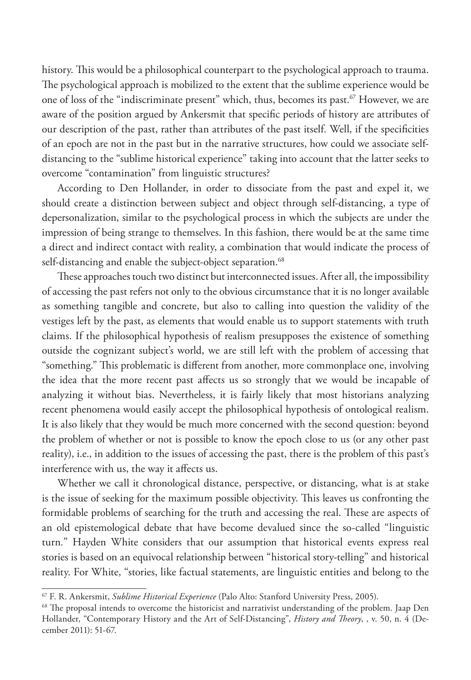history. This would be a philosophical counterpart to the psychological approach to trauma. The psychological approach is mobilized to the extent that the sublime experience would be one of loss of the "indiscriminate present" which, thus, becomes its past.67 However, we are aware of the position argued by Ankersmit that specific periods of history are attributes of our description of the past, rather than attributes of the past itself. Well, if the specificities of an epoch are not in the past but in the narrative structures, how could we associate selfdistancing to the "sublime historical experience" taking into account that the latter seeks to overcome "contamination" from linguistic structures?

According to Den Hollander, in order to dissociate from the past and expel it, we should create a distinction between subject and object through self-distancing, a type of depersonalization, similar to the psychological process in which the subjects are under the impression of being strange to themselves. In this fashion, there would be at the same time a direct and indirect contact with reality, a combination that would indicate the process of self-distancing and enable the subject-object separation.<sup>68</sup>

These approaches touch two distinct but interconnected issues. After all, the impossibility of accessing the past refers not only to the obvious circumstance that it is no longer available as something tangible and concrete, but also to calling into question the validity of the vestiges left by the past, as elements that would enable us to support statements with truth claims. If the philosophical hypothesis of realism presupposes the existence of something outside the cognizant subject's world, we are still left with the problem of accessing that "something." This problematic is different from another, more commonplace one, involving the idea that the more recent past affects us so strongly that we would be incapable of analyzing it without bias. Nevertheless, it is fairly likely that most historians analyzing recent phenomena would easily accept the philosophical hypothesis of ontological realism. It is also likely that they would be much more concerned with the second question: beyond the problem of whether or not is possible to know the epoch close to us (or any other past reality), i.e., in addition to the issues of accessing the past, there is the problem of this past's interference with us, the way it affects us.

Whether we call it chronological distance, perspective, or distancing, what is at stake is the issue of seeking for the maximum possible objectivity. This leaves us confronting the formidable problems of searching for the truth and accessing the real. These are aspects of an old epistemological debate that have become devalued since the so-called "linguistic turn*.*" Hayden White considers that our assumption that historical events express real stories is based on an equivocal relationship between "historical story-telling" and historical reality. For White, "stories, like factual statements, are linguistic entities and belong to the

<sup>67</sup> F. R. Ankersmit, *Sublime Historical Experience* (Palo Alto: Stanford University Press, 2005).

<sup>68</sup> The proposal intends to overcome the historicist and narrativist understanding of the problem. Jaap Den Hollander, "Contemporary History and the Art of Self-Distancing", *History and Theory*, , v. 50, n. 4 (December 2011): 51-67.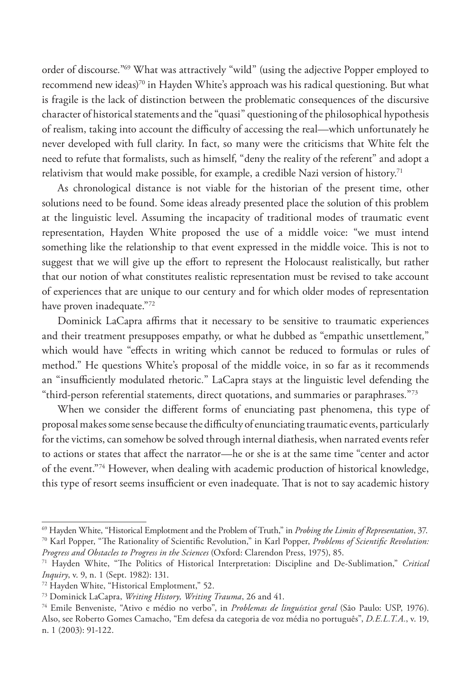order of discourse*.*"69 What was attractively "wild" (using the adjective Popper employed to recommend new ideas)<sup>70</sup> in Hayden White's approach was his radical questioning. But what is fragile is the lack of distinction between the problematic consequences of the discursive character of historical statements and the "quasi" questioning of the philosophical hypothesis of realism, taking into account the difficulty of accessing the real—which unfortunately he never developed with full clarity. In fact, so many were the criticisms that White felt the need to refute that formalists, such as himself, "deny the reality of the referent" and adopt a relativism that would make possible, for example, a credible Nazi version of history.<sup>71</sup>

As chronological distance is not viable for the historian of the present time, other solutions need to be found. Some ideas already presented place the solution of this problem at the linguistic level. Assuming the incapacity of traditional modes of traumatic event representation, Hayden White proposed the use of a middle voice: "we must intend something like the relationship to that event expressed in the middle voice. This is not to suggest that we will give up the effort to represent the Holocaust realistically, but rather that our notion of what constitutes realistic representation must be revised to take account of experiences that are unique to our century and for which older modes of representation have proven inadequate."72

Dominick LaCapra affirms that it necessary to be sensitive to traumatic experiences and their treatment presupposes empathy, or what he dubbed as "empathic unsettlement*,*" which would have "effects in writing which cannot be reduced to formulas or rules of method." He questions White's proposal of the middle voice, in so far as it recommends an "insufficiently modulated rhetoric*.*" LaCapra stays at the linguistic level defending the "third-person referential statements, direct quotations, and summaries or paraphrases*.*"73

When we consider the different forms of enunciating past phenomena, this type of proposal makes some sense because the difficulty of enunciating traumatic events, particularly for the victims, can somehow be solved through internal diathesis, when narrated events refer to actions or states that affect the narrator—he or she is at the same time "center and actor of the event."74 However, when dealing with academic production of historical knowledge, this type of resort seems insufficient or even inadequate. That is not to say academic history

*Progress and Obstacles to Progress in the Sciences* (Oxford: Clarendon Press, 1975), 85.

<sup>69</sup> Hayden White, "Historical Emplotment and the Problem of Truth," in *Probing the Limits of Representation*, 37. 70 Karl Popper, "The Rationality of Scientific Revolution," in Karl Popper, *Problems of Scientific Revolution:* 

<sup>71</sup> Hayden White, "The Politics of Historical Interpretation: Discipline and De-Sublimation," *Critical Inquiry*, v. 9, n. 1 (Sept. 1982): 131.

<sup>72</sup> Hayden White, "Historical Emplotment," 52.

<sup>73</sup> Dominick LaCapra, *Writing History, Writing Trauma*, 26 and 41.

<sup>74</sup> Emile Benveniste, "Ativo e médio no verbo", in *Problemas de linguística geral* (São Paulo: USP, 1976). Also, see Roberto Gomes Camacho, "Em defesa da categoria de voz média no português", *D.E.L.T.A.*, v. 19, n. 1 (2003): 91-122.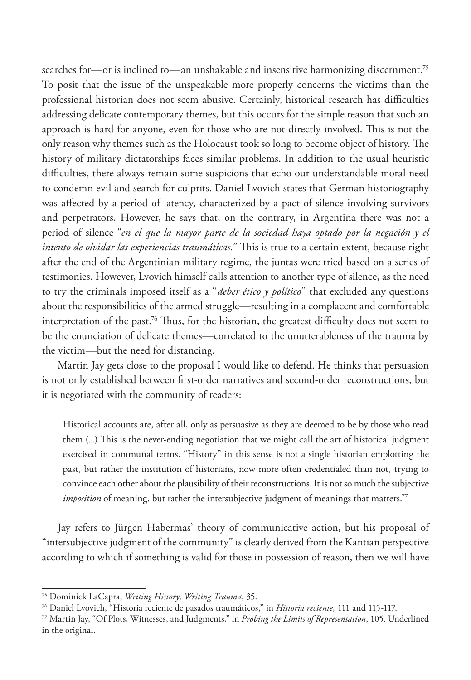searches for—or is inclined to—an unshakable and insensitive harmonizing discernment.<sup>75</sup> To posit that the issue of the unspeakable more properly concerns the victims than the professional historian does not seem abusive. Certainly, historical research has difficulties addressing delicate contemporary themes, but this occurs for the simple reason that such an approach is hard for anyone, even for those who are not directly involved. This is not the only reason why themes such as the Holocaust took so long to become object of history. The history of military dictatorships faces similar problems. In addition to the usual heuristic difficulties, there always remain some suspicions that echo our understandable moral need to condemn evil and search for culprits. Daniel Lvovich states that German historiography was affected by a period of latency, characterized by a pact of silence involving survivors and perpetrators. However, he says that, on the contrary, in Argentina there was not a period of silence "*en el que la mayor parte de la sociedad haya optado por la negación y el intento de olvidar las experiencias traumáticas.*" This is true to a certain extent, because right after the end of the Argentinian military regime, the juntas were tried based on a series of testimonies. However, Lvovich himself calls attention to another type of silence, as the need to try the criminals imposed itself as a "*deber ético y político*" that excluded any questions about the responsibilities of the armed struggle—resulting in a complacent and comfortable interpretation of the past.<sup>76</sup> Thus, for the historian, the greatest difficulty does not seem to be the enunciation of delicate themes—correlated to the unutterableness of the trauma by the victim—but the need for distancing.

Martin Jay gets close to the proposal I would like to defend. He thinks that persuasion is not only established between first-order narratives and second-order reconstructions, but it is negotiated with the community of readers:

Historical accounts are, after all, only as persuasive as they are deemed to be by those who read them (...) This is the never-ending negotiation that we might call the art of historical judgment exercised in communal terms. "History" in this sense is not a single historian emplotting the past, but rather the institution of historians, now more often credentialed than not, trying to convince each other about the plausibility of their reconstructions. It is not so much the subjective *imposition* of meaning, but rather the intersubjective judgment of meanings that matters.<sup>77</sup>

Jay refers to Jürgen Habermas' theory of communicative action, but his proposal of "intersubjective judgment of the community" is clearly derived from the Kantian perspective according to which if something is valid for those in possession of reason, then we will have

<sup>75</sup> Dominick LaCapra, *Writing History, Writing Trauma*, 35.

<sup>76</sup> Daniel Lvovich, "Historia reciente de pasados traumáticos," in *Historia reciente,* 111 and 115-117.

<sup>77</sup> Martin Jay, "Of Plots, Witnesses, and Judgments," in *Probing the Limits of Representation*, 105. Underlined in the original.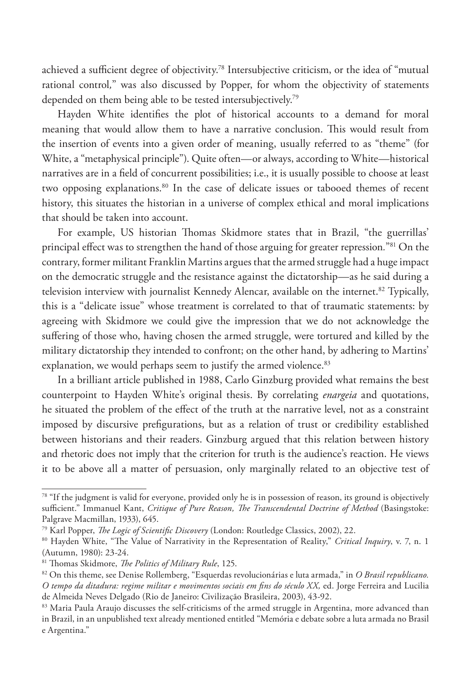achieved a sufficient degree of objectivity.78 Intersubjective criticism, or the idea of "mutual rational control*,*" was also discussed by Popper, for whom the objectivity of statements depended on them being able to be tested intersubjectively.<sup>79</sup>

Hayden White identifies the plot of historical accounts to a demand for moral meaning that would allow them to have a narrative conclusion. This would result from the insertion of events into a given order of meaning, usually referred to as "theme" (for White, a "metaphysical principle"). Quite often—or always, according to White—historical narratives are in a field of concurrent possibilities; i.e., it is usually possible to choose at least two opposing explanations.<sup>80</sup> In the case of delicate issues or tabooed themes of recent history, this situates the historian in a universe of complex ethical and moral implications that should be taken into account.

For example, US historian Thomas Skidmore states that in Brazil, "the guerrillas' principal effect was to strengthen the hand of those arguing for greater repression*.*"81 On the contrary, former militant Franklin Martins argues that the armed struggle had a huge impact on the democratic struggle and the resistance against the dictatorship—as he said during a television interview with journalist Kennedy Alencar, available on the internet.<sup>82</sup> Typically, this is a "delicate issue" whose treatment is correlated to that of traumatic statements: by agreeing with Skidmore we could give the impression that we do not acknowledge the suffering of those who, having chosen the armed struggle, were tortured and killed by the military dictatorship they intended to confront; on the other hand, by adhering to Martins' explanation, we would perhaps seem to justify the armed violence.<sup>83</sup>

In a brilliant article published in 1988, Carlo Ginzburg provided what remains the best counterpoint to Hayden White's original thesis. By correlating *enargeia* and quotations, he situated the problem of the effect of the truth at the narrative level, not as a constraint imposed by discursive prefigurations, but as a relation of trust or credibility established between historians and their readers. Ginzburg argued that this relation between history and rhetoric does not imply that the criterion for truth is the audience's reaction. He views it to be above all a matter of persuasion, only marginally related to an objective test of

<sup>&</sup>lt;sup>78</sup> "If the judgment is valid for everyone, provided only he is in possession of reason, its ground is objectively sufficient." Immanuel Kant, *Critique of Pure Reason, The Transcendental Doctrine of Method* (Basingstoke: Palgrave Macmillan, 1933), 645.

<sup>79</sup> Karl Popper, *The Logic of Scientific Discovery* (London: Routledge Classics, 2002), 22.

<sup>80</sup> Hayden White, "The Value of Narrativity in the Representation of Reality," *Critical Inquiry*, v. 7, n. 1 (Autumn, 1980): 23-24.

<sup>81</sup> Thomas Skidmore, *The Politics of Military Rule*, 125.

<sup>82</sup> On this theme, see Denise Rollemberg, "Esquerdas revolucionárias e luta armada," in *O Brasil republicano. O tempo da ditadura: regime militar e movimentos sociais em fins do século XX,* ed. Jorge Ferreira and Lucilia de Almeida Neves Delgado (Rio de Janeiro: Civilização Brasileira, 2003), 43-92.

<sup>&</sup>lt;sup>83</sup> Maria Paula Araujo discusses the self-criticisms of the armed struggle in Argentina, more advanced than in Brazil, in an unpublished text already mentioned entitled "Memória e debate sobre a luta armada no Brasil e Argentina."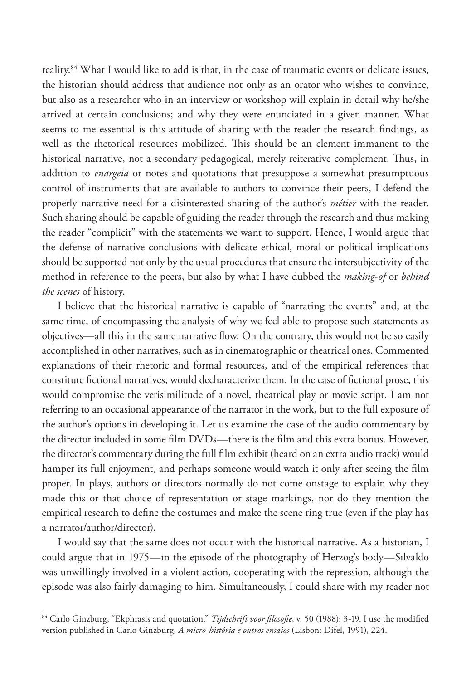reality.84 What I would like to add is that, in the case of traumatic events or delicate issues, the historian should address that audience not only as an orator who wishes to convince, but also as a researcher who in an interview or workshop will explain in detail why he/she arrived at certain conclusions; and why they were enunciated in a given manner. What seems to me essential is this attitude of sharing with the reader the research findings, as well as the rhetorical resources mobilized. This should be an element immanent to the historical narrative, not a secondary pedagogical, merely reiterative complement. Thus, in addition to *enargeia* or notes and quotations that presuppose a somewhat presumptuous control of instruments that are available to authors to convince their peers, I defend the properly narrative need for a disinterested sharing of the author's *métier* with the reader. Such sharing should be capable of guiding the reader through the research and thus making the reader "complicit" with the statements we want to support. Hence, I would argue that the defense of narrative conclusions with delicate ethical, moral or political implications should be supported not only by the usual procedures that ensure the intersubjectivity of the method in reference to the peers, but also by what I have dubbed the *making-of* or *behind the scenes* of history.

I believe that the historical narrative is capable of "narrating the events" and, at the same time, of encompassing the analysis of why we feel able to propose such statements as objectives—all this in the same narrative flow. On the contrary, this would not be so easily accomplished in other narratives, such as in cinematographic or theatrical ones. Commented explanations of their rhetoric and formal resources, and of the empirical references that constitute fictional narratives, would decharacterize them. In the case of fictional prose, this would compromise the verisimilitude of a novel, theatrical play or movie script. I am not referring to an occasional appearance of the narrator in the work, but to the full exposure of the author's options in developing it. Let us examine the case of the audio commentary by the director included in some film DVDs—there is the film and this extra bonus. However, the director's commentary during the full film exhibit (heard on an extra audio track) would hamper its full enjoyment, and perhaps someone would watch it only after seeing the film proper. In plays, authors or directors normally do not come onstage to explain why they made this or that choice of representation or stage markings, nor do they mention the empirical research to define the costumes and make the scene ring true (even if the play has a narrator/author/director).

I would say that the same does not occur with the historical narrative. As a historian, I could argue that in 1975—in the episode of the photography of Herzog's body—Silvaldo was unwillingly involved in a violent action, cooperating with the repression, although the episode was also fairly damaging to him. Simultaneously, I could share with my reader not

<sup>&</sup>lt;sup>84</sup> Carlo Ginzburg, "Ekphrasis and quotation." *Tijdschrift voor filosofie*, v. 50 (1988): 3-19. I use the modified version published in Carlo Ginzburg, *A micro-história e outros ensaios* (Lisbon: Difel, 1991), 224.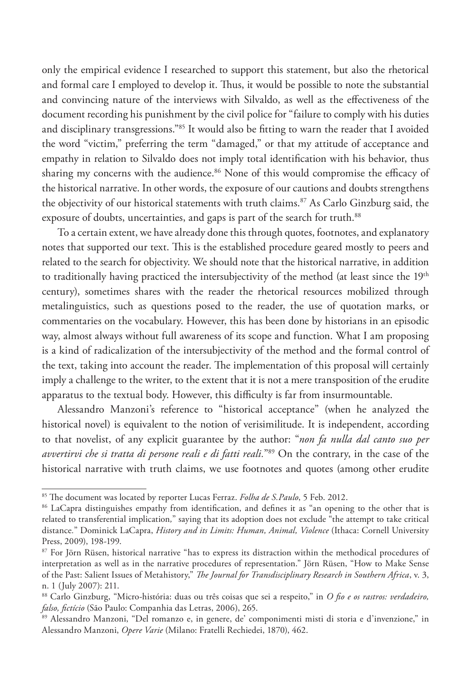only the empirical evidence I researched to support this statement, but also the rhetorical and formal care I employed to develop it. Thus, it would be possible to note the substantial and convincing nature of the interviews with Silvaldo, as well as the effectiveness of the document recording his punishment by the civil police for "failure to comply with his duties and disciplinary transgressions."85 It would also be fitting to warn the reader that I avoided the word "victim," preferring the term "damaged," or that my attitude of acceptance and empathy in relation to Silvaldo does not imply total identification with his behavior, thus sharing my concerns with the audience.<sup>86</sup> None of this would compromise the efficacy of the historical narrative. In other words, the exposure of our cautions and doubts strengthens the objectivity of our historical statements with truth claims.<sup>87</sup> As Carlo Ginzburg said, the exposure of doubts, uncertainties, and gaps is part of the search for truth.<sup>88</sup>

To a certain extent, we have already done this through quotes, footnotes, and explanatory notes that supported our text. This is the established procedure geared mostly to peers and related to the search for objectivity. We should note that the historical narrative, in addition to traditionally having practiced the intersubjectivity of the method (at least since the  $19<sup>th</sup>$ century), sometimes shares with the reader the rhetorical resources mobilized through metalinguistics, such as questions posed to the reader, the use of quotation marks, or commentaries on the vocabulary. However, this has been done by historians in an episodic way, almost always without full awareness of its scope and function. What I am proposing is a kind of radicalization of the intersubjectivity of the method and the formal control of the text, taking into account the reader. The implementation of this proposal will certainly imply a challenge to the writer, to the extent that it is not a mere transposition of the erudite apparatus to the textual body. However, this difficulty is far from insurmountable.

Alessandro Manzoni's reference to "historical acceptance" (when he analyzed the historical novel) is equivalent to the notion of verisimilitude. It is independent, according to that novelist, of any explicit guarantee by the author: "*non fa nulla dal canto suo per avvertirvi che si tratta di persone reali e di fatti reali.*"89 On the contrary, in the case of the historical narrative with truth claims, we use footnotes and quotes (among other erudite

<sup>85</sup> The document was located by reporter Lucas Ferraz. *Folha de S.Paulo*, 5 Feb. 2012.

<sup>&</sup>lt;sup>86</sup> LaCapra distinguishes empathy from identification, and defines it as "an opening to the other that is related to transferential implication*,*" saying that its adoption does not exclude "the attempt to take critical distance*.*" Dominick LaCapra, *History and its Limits: Human, Animal, Violence* (Ithaca: Cornell University Press, 2009), 198-199.

<sup>&</sup>lt;sup>87</sup> For Jörn Rüsen, historical narrative "has to express its distraction within the methodical procedures of interpretation as well as in the narrative procedures of representation." Jörn Rüsen, "How to Make Sense of the Past: Salient Issues of Metahistory," *The Journal for Transdisciplinary Research in Southern Africa*, v. 3, n. 1 (July 2007): 211.

<sup>88</sup> Carlo Ginzburg, "Micro-história: duas ou três coisas que sei a respeito," in *O fio e os rastros: verdadeiro, falso, fictício* (São Paulo: Companhia das Letras, 2006), 265.

<sup>89</sup> Alessandro Manzoni, "Del romanzo e, in genere, de' componimenti misti di storia e d'invenzione," in Alessandro Manzoni, *Opere Varie* (Milano: Fratelli Rechiedei, 1870), 462.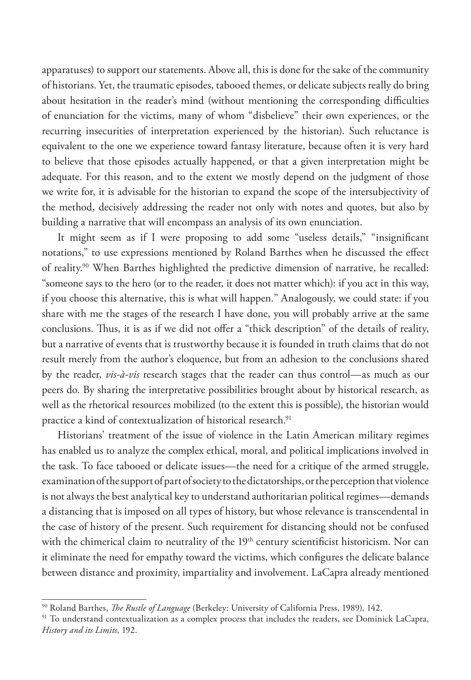apparatuses) to support our statements. Above all, this is done for the sake of the community of historians. Yet, the traumatic episodes, tabooed themes, or delicate subjects really do bring about hesitation in the reader's mind (without mentioning the corresponding difficulties of enunciation for the victims, many of whom "disbelieve" their own experiences, or the recurring insecurities of interpretation experienced by the historian). Such reluctance is equivalent to the one we experience toward fantasy literature, because often it is very hard to believe that those episodes actually happened, or that a given interpretation might be adequate. For this reason, and to the extent we mostly depend on the judgment of those we write for, it is advisable for the historian to expand the scope of the intersubjectivity of the method, decisively addressing the reader not only with notes and quotes, but also by building a narrative that will encompass an analysis of its own enunciation.

It might seem as if I were proposing to add some "useless details," "insignificant notations," to use expressions mentioned by Roland Barthes when he discussed the effect of reality.90 When Barthes highlighted the predictive dimension of narrative, he recalled: "someone says to the hero (or to the reader, it does not matter which): if you act in this way, if you choose this alternative, this is what will happen*.*" Analogously, we could state: if you share with me the stages of the research I have done, you will probably arrive at the same conclusions. Thus, it is as if we did not offer a "thick description" of the details of reality, but a narrative of events that is trustworthy because it is founded in truth claims that do not result merely from the author's eloquence, but from an adhesion to the conclusions shared by the reader, *vis-à-vis* research stages that the reader can thus control—as much as our peers do. By sharing the interpretative possibilities brought about by historical research, as well as the rhetorical resources mobilized (to the extent this is possible), the historian would practice a kind of contextualization of historical research.<sup>91</sup>

Historians' treatment of the issue of violence in the Latin American military regimes has enabled us to analyze the complex ethical, moral, and political implications involved in the task. To face tabooed or delicate issues—the need for a critique of the armed struggle, examination of the support of part of society to the dictatorships, or the perception that violence is not always the best analytical key to understand authoritarian political regimes—demands a distancing that is imposed on all types of history, but whose relevance is transcendental in the case of history of the present. Such requirement for distancing should not be confused with the chimerical claim to neutrality of the 19<sup>th</sup> century scientificist historicism. Nor can it eliminate the need for empathy toward the victims, which configures the delicate balance between distance and proximity, impartiality and involvement. LaCapra already mentioned

<sup>90</sup> Roland Barthes, *The Rustle of Language* (Berkeley: University of California Press, 1989), 142.

<sup>&</sup>lt;sup>91</sup> To understand contextualization as a complex process that includes the readers, see Dominick LaCapra, *History and its Limits*, 192.